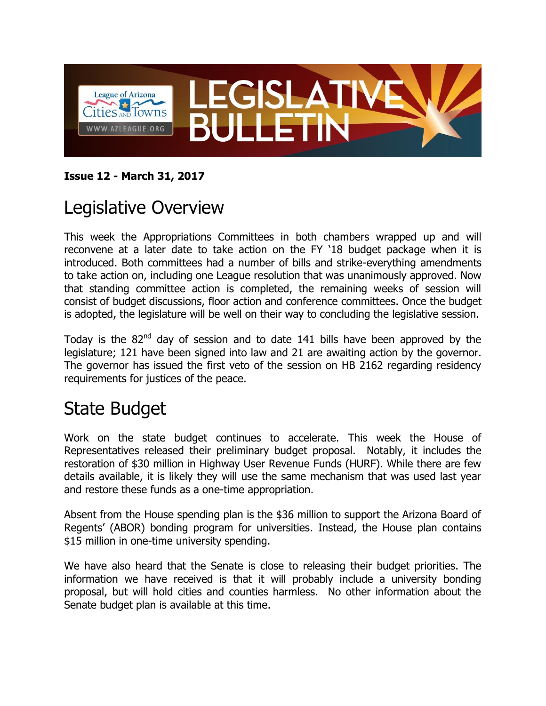

#### **Issue 12 - March 31, 2017**

#### Legislative Overview

This week the Appropriations Committees in both chambers wrapped up and will reconvene at a later date to take action on the FY '18 budget package when it is introduced. Both committees had a number of bills and strike-everything amendments to take action on, including one League resolution that was unanimously approved. Now that standing committee action is completed, the remaining weeks of session will consist of budget discussions, floor action and conference committees. Once the budget is adopted, the legislature will be well on their way to concluding the legislative session.

Today is the  $82<sup>nd</sup>$  day of session and to date 141 bills have been approved by the legislature; 121 have been signed into law and 21 are awaiting action by the governor. The governor has issued the first veto of the session on HB 2162 regarding residency requirements for justices of the peace.

#### State Budget

Work on the state budget continues to accelerate. This week the House of Representatives released their preliminary budget proposal. Notably, it includes the restoration of \$30 million in Highway User Revenue Funds (HURF). While there are few details available, it is likely they will use the same mechanism that was used last year and restore these funds as a one-time appropriation.

Absent from the House spending plan is the \$36 million to support the Arizona Board of Regents' (ABOR) bonding program for universities. Instead, the House plan contains \$15 million in one-time university spending.

We have also heard that the Senate is close to releasing their budget priorities. The information we have received is that it will probably include a university bonding proposal, but will hold cities and counties harmless. No other information about the Senate budget plan is available at this time.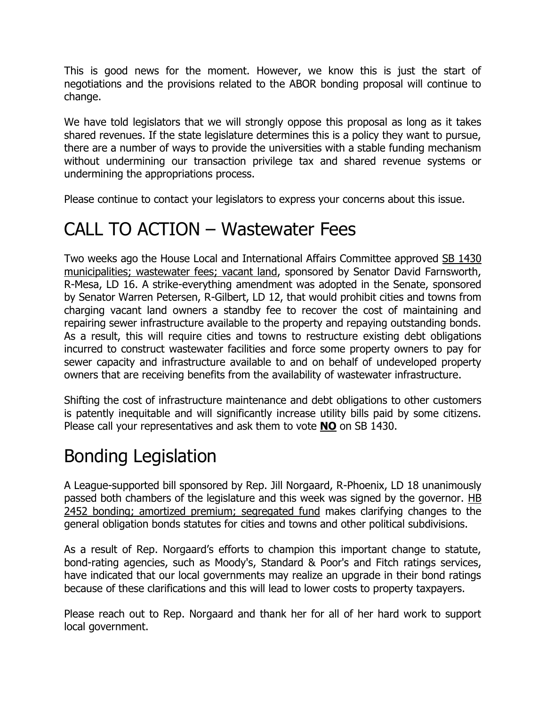This is good news for the moment. However, we know this is just the start of negotiations and the provisions related to the ABOR bonding proposal will continue to change.

We have told legislators that we will strongly oppose this proposal as long as it takes shared revenues. If the state legislature determines this is a policy they want to pursue, there are a number of ways to provide the universities with a stable funding mechanism without undermining our transaction privilege tax and shared revenue systems or undermining the appropriations process.

Please continue to contact your legislators to express your concerns about this issue.

#### CALL TO ACTION – Wastewater Fees

Two weeks ago the House Local and International Affairs Committee approved SB 1430 municipalities; wastewater fees; vacant land, sponsored by Senator David Farnsworth, R-Mesa, LD 16. A strike-everything amendment was adopted in the Senate, sponsored by Senator Warren Petersen, R-Gilbert, LD 12, that would prohibit cities and towns from charging vacant land owners a standby fee to recover the cost of maintaining and repairing sewer infrastructure available to the property and repaying outstanding bonds. As a result, this will require cities and towns to restructure existing debt obligations incurred to construct wastewater facilities and force some property owners to pay for sewer capacity and infrastructure available to and on behalf of undeveloped property owners that are receiving benefits from the availability of wastewater infrastructure.

Shifting the cost of infrastructure maintenance and debt obligations to other customers is patently inequitable and will significantly increase utility bills paid by some citizens. Please call your representatives and ask them to vote **NO** on SB 1430.

## Bonding Legislation

A League-supported bill sponsored by Rep. Jill Norgaard, R-Phoenix, LD 18 unanimously passed both chambers of the legislature and this week was signed by the governor. HB 2452 bonding; amortized premium; segregated fund makes clarifying changes to the general obligation bonds statutes for cities and towns and other political subdivisions.

As a result of Rep. Norgaard's efforts to champion this important change to statute, bond-rating agencies, such as Moody's, Standard & Poor's and Fitch ratings services, have indicated that our local governments may realize an upgrade in their bond ratings because of these clarifications and this will lead to lower costs to property taxpayers.

Please reach out to Rep. Norgaard and thank her for all of her hard work to support local government.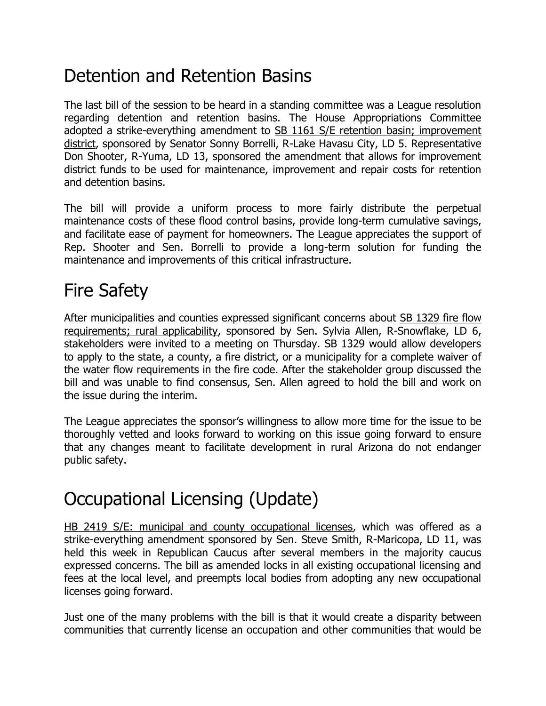## Detention and Retention Basins

The last bill of the session to be heard in a standing committee was a League resolution regarding detention and retention basins. The House Appropriations Committee adopted a strike-everything amendment to **SB 1161 S/E** retention basin; improvement district, sponsored by Senator Sonny Borrelli, R-Lake Havasu City, LD 5. Representative Don Shooter, R-Yuma, LD 13, sponsored the amendment that allows for improvement district funds to be used for maintenance, improvement and repair costs for retention and detention basins.

The bill will provide a uniform process to more fairly distribute the perpetual maintenance costs of these flood control basins, provide long-term cumulative savings, and facilitate ease of payment for homeowners. The League appreciates the support of Rep. Shooter and Sen. Borrelli to provide a long-term solution for funding the maintenance and improvements of this critical infrastructure.

# Fire Safety

After municipalities and counties expressed significant concerns about SB 1329 fire flow requirements; rural applicability, sponsored by Sen. Sylvia Allen, R-Snowflake, LD 6, stakeholders were invited to a meeting on Thursday. SB 1329 would allow developers to apply to the state, a county, a fire district, or a municipality for a complete waiver of the water flow requirements in the fire code. After the stakeholder group discussed the bill and was unable to find consensus, Sen. Allen agreed to hold the bill and work on the issue during the interim.

The League appreciates the sponsor's willingness to allow more time for the issue to be thoroughly vetted and looks forward to working on this issue going forward to ensure that any changes meant to facilitate development in rural Arizona do not endanger public safety.

## Occupational Licensing (Update)

HB 2419 S/E: municipal and county occupational licenses, which was offered as a strike-everything amendment sponsored by Sen. Steve Smith, R-Maricopa, LD 11, was held this week in Republican Caucus after several members in the majority caucus expressed concerns. The bill as amended locks in all existing occupational licensing and fees at the local level, and preempts local bodies from adopting any new occupational licenses going forward.

Just one of the many problems with the bill is that it would create a disparity between communities that currently license an occupation and other communities that would be